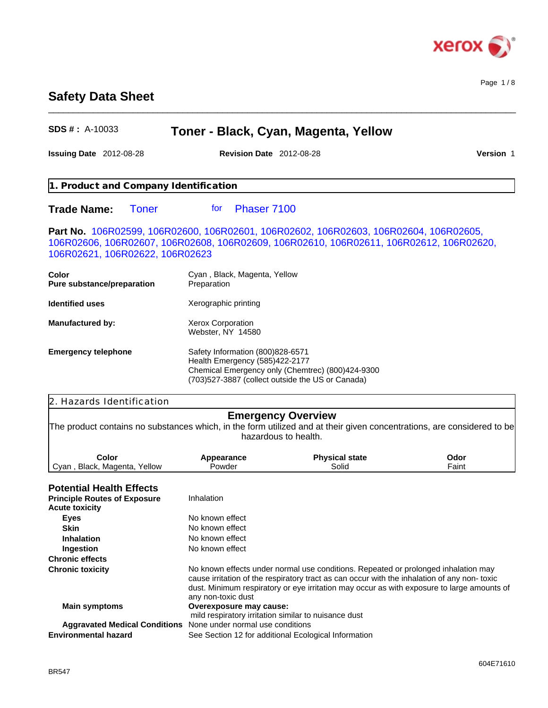

Page 1 / 8

# **Safety Data Sheet**

## **SDS # :** A-10033 **Issuing Date** 2012-08-28 **Revision Date** 2012-08-28 **Version** 1 **Toner - Black, Cyan, Magenta, Yellow** No known effect **Principle Routes of Exposure Ingestion** No known effect Inhalation **Chronic effects Acute toxicity Chronic toxicity** No known effects under normal use conditions. Repeated or prolonged inhalation may cause irritation of the respiratory tract as can occur with the inhalation of any non- toxic dust. Minimum respiratory or eye irritation may occur as with exposure to large amounts of any non-toxic dust **Main symptoms Overexposure may cause:** mild respiratory irritation similar to nuisance dust **Aggravated Medical Conditions** None under normal use conditions **Eyes** No known effect **Environmental hazard** See Section 12 for additional Ecological Information **Skin** No known effect **Potential Health Effects** 2. Hazards Identification **Inhalation Part No.** 106R02599, 106R02600, 106R02601, 106R02602, 106R02603, 106R02604, 106R02605, 106R02606, 106R02607, 106R02608, 106R02609, 106R02610, 106R02611, 106R02612, 106R02620, 106R02621, 106R02622, 106R02623 **Identified uses** Xerographic printing **Emergency Overview** The product contains no substances which, in the form utilized and at their given concentrations, are considered to be hazardous to health. **Color** Cyan, Black, Magenta, Yellow **Pure substance/preparation Emergency telephone** Safety Information (800)828-6571 Health Emergency (585)422-2177 Chemical Emergency only (Chemtrec) (800)424-9300 (703)527-3887 (collect outside the US or Canada) Preparation **1. Product and Company Identification Appearance** Powder **Trade Name: Phase** Toner 7100 **Color** Cyan , Black, Magenta, Yellow **Physical state** Solid **Toner** Phaser 7100 **Manufactured by: Odor** Faint Xerox Corporation Webster, NY 14580

\_\_\_\_\_\_\_\_\_\_\_\_\_\_\_\_\_\_\_\_\_\_\_\_\_\_\_\_\_\_\_\_\_\_\_\_\_\_\_\_\_\_\_\_\_\_\_\_\_\_\_\_\_\_\_\_\_\_\_\_\_\_\_\_\_\_\_\_\_\_\_\_\_\_\_\_\_\_\_\_\_\_\_\_\_\_\_\_\_\_\_\_\_\_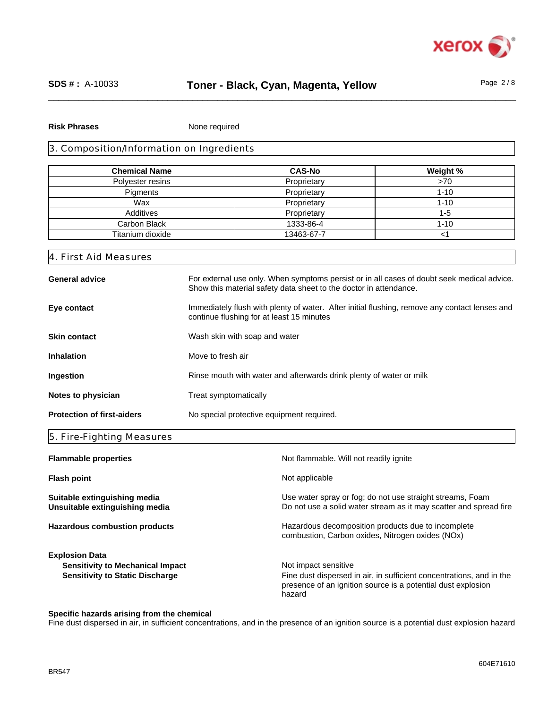

#### **Risk Phrases**

None required

## 3. Composition/Information on Ingredients

| <b>Chemical Name</b> | <b>CAS-No</b> | Weight % |
|----------------------|---------------|----------|
| Polyester resins     | Proprietary   | >70      |
| Pigments             | Proprietary   | $1 - 10$ |
| Wax                  | Proprietary   | $1 - 10$ |
| Additives            | Proprietary   | 1-5      |
| Carbon Black         | 1333-86-4     | $1 - 10$ |
| Titanium dioxide     | 13463-67-7    |          |

### 4. First Aid Measures

| <b>General advice</b>             | For external use only. When symptoms persist or in all cases of doubt seek medical advice.<br>Show this material safety data sheet to the doctor in attendance. |
|-----------------------------------|-----------------------------------------------------------------------------------------------------------------------------------------------------------------|
| Eye contact                       | Immediately flush with plenty of water. After initial flushing, remove any contact lenses and<br>continue flushing for at least 15 minutes                      |
| <b>Skin contact</b>               | Wash skin with soap and water                                                                                                                                   |
| <b>Inhalation</b>                 | Move to fresh air                                                                                                                                               |
| Ingestion                         | Rinse mouth with water and afterwards drink plenty of water or milk                                                                                             |
| Notes to physician                | Treat symptomatically                                                                                                                                           |
| <b>Protection of first-aiders</b> | No special protective equipment required.                                                                                                                       |

### 5. Fire-Fighting Measures

| <b>Flammable properties</b>                                                                                | Not flammable. Will not readily ignite                                                                                                                                 |
|------------------------------------------------------------------------------------------------------------|------------------------------------------------------------------------------------------------------------------------------------------------------------------------|
| <b>Flash point</b>                                                                                         | Not applicable                                                                                                                                                         |
| Suitable extinguishing media<br>Unsuitable extinguishing media                                             | Use water spray or fog; do not use straight streams, Foam<br>Do not use a solid water stream as it may scatter and spread fire                                         |
| <b>Hazardous combustion products</b>                                                                       | Hazardous decomposition products due to incomplete<br>combustion, Carbon oxides, Nitrogen oxides (NOx)                                                                 |
| <b>Explosion Data</b><br><b>Sensitivity to Mechanical Impact</b><br><b>Sensitivity to Static Discharge</b> | Not impact sensitive<br>Fine dust dispersed in air, in sufficient concentrations, and in the<br>presence of an ignition source is a potential dust explosion<br>hazard |

## **Specific hazards arising from the chemical**

Fine dust dispersed in air, in sufficient concentrations, and in the presence of an ignition source is a potential dust explosion hazard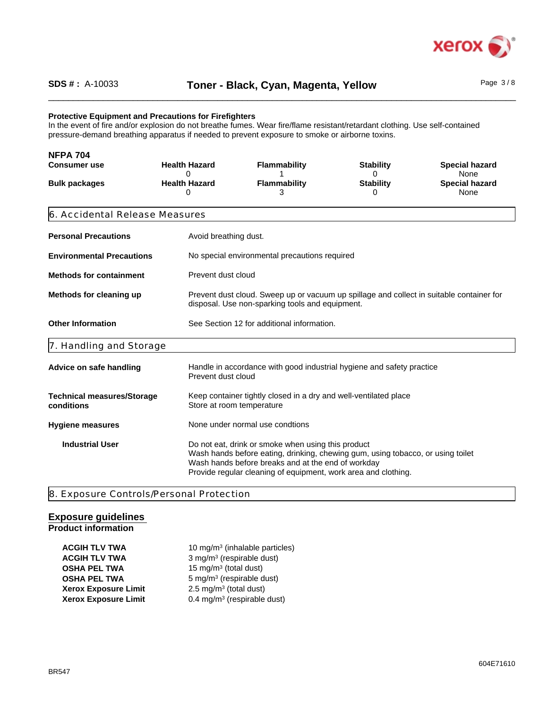

## **Protective Equipment and Precautions for Firefighters**

In the event of fire and/or explosion do not breathe fumes. Wear fire/flame resistant/retardant clothing. Use self-contained pressure-demand breathing apparatus if needed to prevent exposure to smoke or airborne toxins.

| <b>NFPA 704</b><br><b>Consumer use</b>          | <b>Health Hazard</b><br>0 | <b>Flammability</b>                                                                                                                                                                                                                                           | <b>Stability</b><br>0 | <b>Special hazard</b><br>None |
|-------------------------------------------------|---------------------------|---------------------------------------------------------------------------------------------------------------------------------------------------------------------------------------------------------------------------------------------------------------|-----------------------|-------------------------------|
| <b>Bulk packages</b>                            | <b>Health Hazard</b><br>0 | Flammability<br>3                                                                                                                                                                                                                                             | <b>Stability</b><br>0 | <b>Special hazard</b><br>None |
| 6. Accidental Release Measures                  |                           |                                                                                                                                                                                                                                                               |                       |                               |
| <b>Personal Precautions</b>                     | Avoid breathing dust.     |                                                                                                                                                                                                                                                               |                       |                               |
| <b>Environmental Precautions</b>                |                           | No special environmental precautions required                                                                                                                                                                                                                 |                       |                               |
| <b>Methods for containment</b>                  | Prevent dust cloud        |                                                                                                                                                                                                                                                               |                       |                               |
| Methods for cleaning up                         |                           | Prevent dust cloud. Sweep up or vacuum up spillage and collect in suitable container for<br>disposal. Use non-sparking tools and equipment.                                                                                                                   |                       |                               |
| <b>Other Information</b>                        |                           | See Section 12 for additional information.                                                                                                                                                                                                                    |                       |                               |
| 7. Handling and Storage                         |                           |                                                                                                                                                                                                                                                               |                       |                               |
| Advice on safe handling                         | Prevent dust cloud        | Handle in accordance with good industrial hygiene and safety practice                                                                                                                                                                                         |                       |                               |
| <b>Technical measures/Storage</b><br>conditions |                           | Keep container tightly closed in a dry and well-ventilated place<br>Store at room temperature                                                                                                                                                                 |                       |                               |
| <b>Hygiene measures</b>                         |                           | None under normal use condtions                                                                                                                                                                                                                               |                       |                               |
| <b>Industrial User</b>                          |                           | Do not eat, drink or smoke when using this product<br>Wash hands before eating, drinking, chewing gum, using tobacco, or using toilet<br>Wash hands before breaks and at the end of workday<br>Provide regular cleaning of equipment, work area and clothing. |                       |                               |

8. Exposure Controls/Personal Protection

#### **Exposure guidelines Product information**

| <b>ACGIH TLV TWA</b>        | 10 mg/m <sup>3</sup> (inhalable particles) |
|-----------------------------|--------------------------------------------|
| <b>ACGIH TLV TWA</b>        | 3 mg/m <sup>3</sup> (respirable dust)      |
| <b>OSHA PEL TWA</b>         | 15 mg/m <sup>3</sup> (total dust)          |
| <b>OSHA PEL TWA</b>         | $5 \text{ mg/m}^3$ (respirable dust)       |
| <b>Xerox Exposure Limit</b> | 2.5 mg/m <sup>3</sup> (total dust)         |
| <b>Xerox Exposure Limit</b> | 0.4 mg/m <sup>3</sup> (respirable dust)    |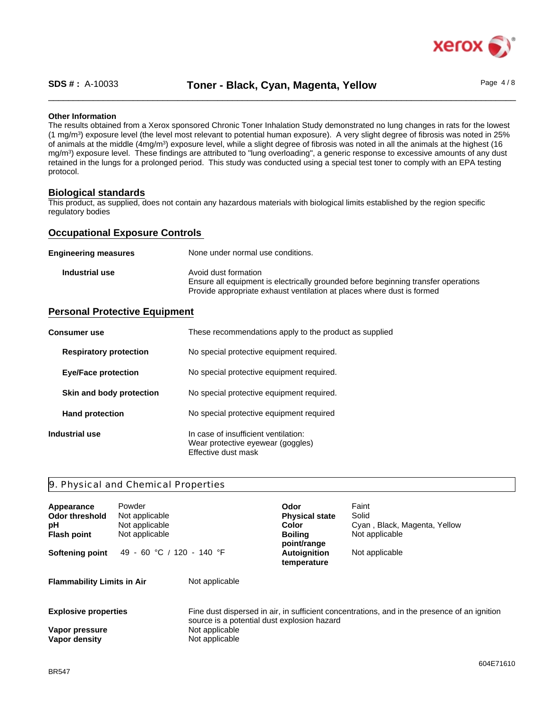

\_\_\_\_\_\_\_\_\_\_\_\_\_\_\_\_\_\_\_\_\_\_\_\_\_\_\_\_\_\_\_\_\_\_\_\_\_\_\_\_\_\_\_\_\_\_\_\_\_\_\_\_\_\_\_\_\_\_\_\_\_\_\_\_\_\_\_\_\_\_\_\_\_\_\_\_\_\_\_\_\_\_\_\_\_\_\_\_\_\_\_\_\_\_ **SDS # :** A-10033 Page 4 / 8 **Toner - Black, Cyan, Magenta, Yellow**

#### **Other Information**

The results obtained from a Xerox sponsored Chronic Toner Inhalation Study demonstrated no lung changes in rats for the lowest (1 mg/m<sup>3</sup> ) exposure level (the level most relevant to potential human exposure). A very slight degree of fibrosis was noted in 25% of animals at the middle (4mg/m<sup>3</sup>) exposure level, while a slight degree of fibrosis was noted in all the animals at the highest (16 mg/m<sup>3</sup> ) exposure level. These findings are attributed to "lung overloading", a generic response to excessive amounts of any dust retained in the lungs for a prolonged period. This study was conducted using a special test toner to comply with an EPA testing protocol.

### **Biological standards**

This product, as supplied, does not contain any hazardous materials with biological limits established by the region specific regulatory bodies

## **Occupational Exposure Controls**

| <b>Engineering measures</b> | None under normal use conditions.                                                                                                                                                    |
|-----------------------------|--------------------------------------------------------------------------------------------------------------------------------------------------------------------------------------|
| Industrial use              | Avoid dust formation<br>Ensure all equipment is electrically grounded before beginning transfer operations<br>Provide appropriate exhaust ventilation at places where dust is formed |

# **Personal Protective Equipment**

| <b>Consumer use</b>           | These recommendations apply to the product as supplied                                           |
|-------------------------------|--------------------------------------------------------------------------------------------------|
| <b>Respiratory protection</b> | No special protective equipment required.                                                        |
| <b>Eye/Face protection</b>    | No special protective equipment required.                                                        |
| Skin and body protection      | No special protective equipment required.                                                        |
| <b>Hand protection</b>        | No special protective equipment required                                                         |
| Industrial use                | In case of insufficient ventilation:<br>Wear protective eyewear (goggles)<br>Effective dust mask |

## 9. Physical and Chemical Properties

| Appearance<br>Odor threshold<br>рH<br><b>Flash point</b><br>Softening point | Powder<br>Not applicable<br>Not applicable<br>Not applicable<br>49 - 60 °C / 120 - 140 °F |                                                                                 | Odor<br><b>Physical state</b><br>Color<br><b>Boiling</b><br>point/range<br><b>Autoignition</b><br>temperature | Faint<br>Solid<br>Cyan, Black, Magenta, Yellow<br>Not applicable<br>Not applicable           |
|-----------------------------------------------------------------------------|-------------------------------------------------------------------------------------------|---------------------------------------------------------------------------------|---------------------------------------------------------------------------------------------------------------|----------------------------------------------------------------------------------------------|
| <b>Flammability Limits in Air</b>                                           |                                                                                           | Not applicable                                                                  |                                                                                                               |                                                                                              |
| <b>Explosive properties</b><br>Vapor pressure<br>Vapor density              |                                                                                           | source is a potential dust explosion hazard<br>Not applicable<br>Not applicable |                                                                                                               | Fine dust dispersed in air, in sufficient concentrations, and in the presence of an ignition |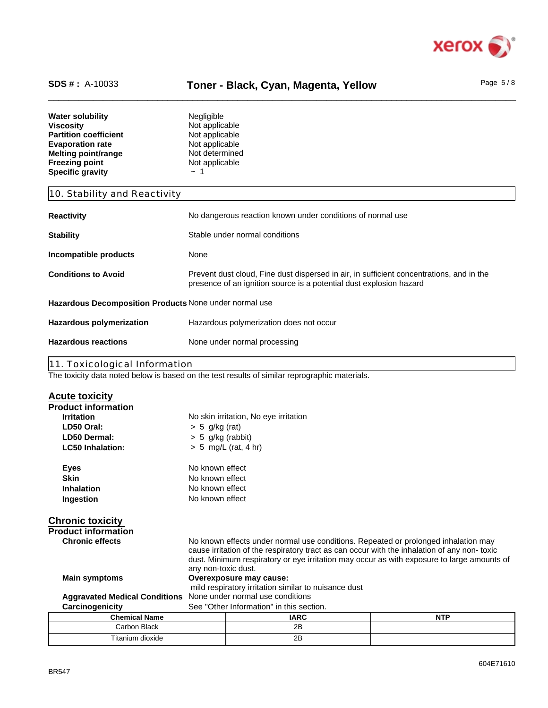

# SDS #: A-10033 **Toner - Black, Cyan, Magenta, Yellow** Page 5/8

| <b>Water solubility</b>      | <b>Negligible</b> |  |
|------------------------------|-------------------|--|
| <b>Viscosity</b>             | Not applicable    |  |
| <b>Partition coefficient</b> | Not applicable    |  |
| <b>Evaporation rate</b>      | Not applicable    |  |
| Melting point/range          | Not determined    |  |
| <b>Freezing point</b>        | Not applicable    |  |
| <b>Specific gravity</b>      | $~\sim~1$         |  |

# 10. Stability and Reactivity

| <b>Reactivity</b>                                      | No dangerous reaction known under conditions of normal use                                                                                                      |
|--------------------------------------------------------|-----------------------------------------------------------------------------------------------------------------------------------------------------------------|
| <b>Stability</b>                                       | Stable under normal conditions                                                                                                                                  |
| Incompatible products                                  | None                                                                                                                                                            |
| <b>Conditions to Avoid</b>                             | Prevent dust cloud, Fine dust dispersed in air, in sufficient concentrations, and in the<br>presence of an ignition source is a potential dust explosion hazard |
| Hazardous Decomposition Products None under normal use |                                                                                                                                                                 |
| Hazardous polymerization                               | Hazardous polymerization does not occur                                                                                                                         |
| <b>Hazardous reactions</b>                             | None under normal processing                                                                                                                                    |
|                                                        |                                                                                                                                                                 |

11. Toxicological Information

The toxicity data noted below is based on the test results of similar reprographic materials.

Titanium dioxide 2B

| <b>Acute toxicity</b>                |                                                      |                                                                                                                                                                                                                                                                                 |            |  |
|--------------------------------------|------------------------------------------------------|---------------------------------------------------------------------------------------------------------------------------------------------------------------------------------------------------------------------------------------------------------------------------------|------------|--|
| <b>Product information</b>           |                                                      |                                                                                                                                                                                                                                                                                 |            |  |
| <b>Irritation</b>                    |                                                      | No skin irritation, No eye irritation                                                                                                                                                                                                                                           |            |  |
| LD50 Oral:                           | $> 5$ g/kg (rat)                                     |                                                                                                                                                                                                                                                                                 |            |  |
| LD50 Dermal:                         | $> 5$ g/kg (rabbit)                                  |                                                                                                                                                                                                                                                                                 |            |  |
| <b>LC50 Inhalation:</b>              |                                                      | $> 5$ mg/L (rat, 4 hr)                                                                                                                                                                                                                                                          |            |  |
| <b>Eyes</b>                          | No known effect                                      |                                                                                                                                                                                                                                                                                 |            |  |
| <b>Skin</b>                          | No known effect                                      |                                                                                                                                                                                                                                                                                 |            |  |
| Inhalation                           | No known effect                                      |                                                                                                                                                                                                                                                                                 |            |  |
| Ingestion                            |                                                      | No known effect                                                                                                                                                                                                                                                                 |            |  |
| <b>Chronic toxicity</b>              |                                                      |                                                                                                                                                                                                                                                                                 |            |  |
| <b>Product information</b>           |                                                      |                                                                                                                                                                                                                                                                                 |            |  |
| <b>Chronic effects</b>               | any non-toxic dust.                                  | No known effects under normal use conditions. Repeated or prolonged inhalation may<br>cause irritation of the respiratory tract as can occur with the inhalation of any non-toxic<br>dust. Minimum respiratory or eye irritation may occur as with exposure to large amounts of |            |  |
| <b>Main symptoms</b>                 |                                                      | Overexposure may cause:                                                                                                                                                                                                                                                         |            |  |
|                                      | mild respiratory irritation similar to nuisance dust |                                                                                                                                                                                                                                                                                 |            |  |
| <b>Aggravated Medical Conditions</b> | None under normal use conditions                     |                                                                                                                                                                                                                                                                                 |            |  |
| Carcinogenicity                      | See "Other Information" in this section.             |                                                                                                                                                                                                                                                                                 |            |  |
| <b>Chemical Name</b>                 |                                                      | <b>IARC</b>                                                                                                                                                                                                                                                                     | <b>NTP</b> |  |
| Carbon Black                         |                                                      | 2B                                                                                                                                                                                                                                                                              |            |  |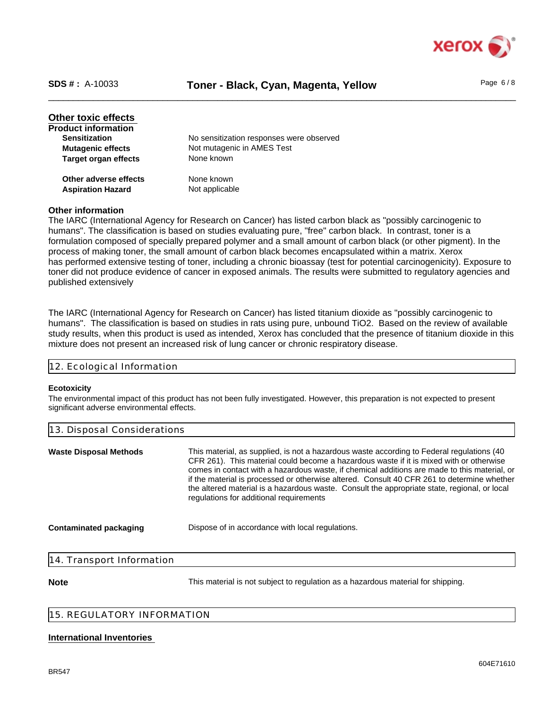

# \_\_\_\_\_\_\_\_\_\_\_\_\_\_\_\_\_\_\_\_\_\_\_\_\_\_\_\_\_\_\_\_\_\_\_\_\_\_\_\_\_\_\_\_\_\_\_\_\_\_\_\_\_\_\_\_\_\_\_\_\_\_\_\_\_\_\_\_\_\_\_\_\_\_\_\_\_\_\_\_\_\_\_\_\_\_\_\_\_\_\_\_\_\_ **SDS # :** A-10033 **Toner - Black, Cyan, Magenta, Yellow** Page 6 / 8

**Target organ effects** None known **Sensitization** No sensitization responses were observed **Product information Other adverse effects** None known **Aspiration Hazard** Not applicable **Mutagenic effects** Not mutagenic in AMES Test **Other toxic effects** 

## **Other information**

The IARC (International Agency for Research on Cancer) has listed carbon black as "possibly carcinogenic to humans". The classification is based on studies evaluating pure, "free" carbon black. In contrast, toner is a formulation composed of specially prepared polymer and a small amount of carbon black (or other pigment). In the process of making toner, the small amount of carbon black becomes encapsulated within a matrix. Xerox has performed extensive testing of toner, including a chronic bioassay (test for potential carcinogenicity). Exposure to toner did not produce evidence of cancer in exposed animals. The results were submitted to regulatory agencies and published extensively

The IARC (International Agency for Research on Cancer) has listed titanium dioxide as "possibly carcinogenic to humans". The classification is based on studies in rats using pure, unbound TiO2. Based on the review of available study results, when this product is used as intended, Xerox has concluded that the presence of titanium dioxide in this mixture does not present an increased risk of lung cancer or chronic respiratory disease.

| 12 Feological Information |
|---------------------------|
|---------------------------|

#### **Ecotoxicity**

The environmental impact of this product has not been fully investigated. However, this preparation is not expected to present significant adverse environmental effects.

| 13. Disposal Considerations   |                                                                                                                                                                                                                                                                                                                                                                                                                                                                                                                               |  |
|-------------------------------|-------------------------------------------------------------------------------------------------------------------------------------------------------------------------------------------------------------------------------------------------------------------------------------------------------------------------------------------------------------------------------------------------------------------------------------------------------------------------------------------------------------------------------|--|
| <b>Waste Disposal Methods</b> | This material, as supplied, is not a hazardous waste according to Federal regulations (40<br>CFR 261). This material could become a hazardous waste if it is mixed with or otherwise<br>comes in contact with a hazardous waste, if chemical additions are made to this material, or<br>if the material is processed or otherwise altered. Consult 40 CFR 261 to determine whether<br>the altered material is a hazardous waste. Consult the appropriate state, regional, or local<br>regulations for additional requirements |  |
| <b>Contaminated packaging</b> | Dispose of in accordance with local regulations.                                                                                                                                                                                                                                                                                                                                                                                                                                                                              |  |
| 14. Transport Information     |                                                                                                                                                                                                                                                                                                                                                                                                                                                                                                                               |  |

**Note** This material is not subject to regulation as a hazardous material for shipping.

## 15. REGULATORY INFORMATION

#### **International Inventories**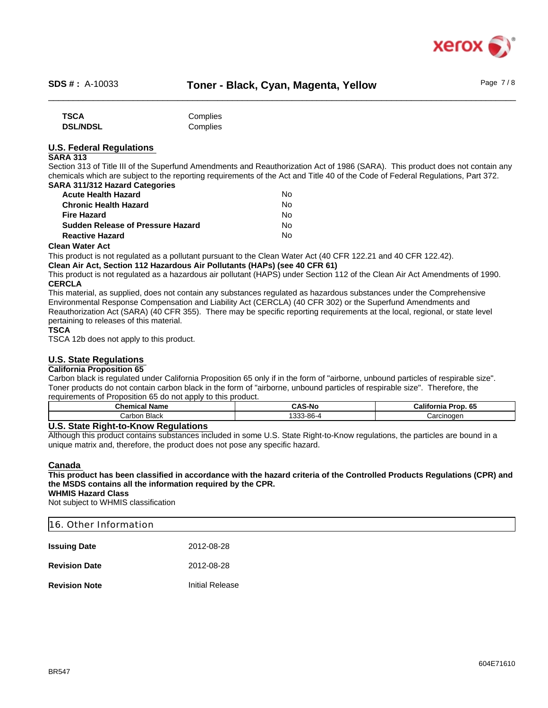

| <b>TSCA</b>     | Complies |
|-----------------|----------|
| <b>DSL/NDSL</b> | Complies |

# **U.S. Federal Regulations**

## **SARA 313**

Section 313 of Title III of the Superfund Amendments and Reauthorization Act of 1986 (SARA). This product does not contain any chemicals which are subject to the reporting requirements of the Act and Title 40 of the Code of Federal Regulations, Part 372. **SARA 311/312 Hazard Categories**

| <b>Acute Health Hazard</b>                | No  |  |
|-------------------------------------------|-----|--|
| <b>Chronic Health Hazard</b>              | No  |  |
| <b>Fire Hazard</b>                        | N٥  |  |
| <b>Sudden Release of Pressure Hazard</b>  | No. |  |
| <b>Reactive Hazard</b>                    | No  |  |
| $-1$ . <b>All</b> $-1$ $-1$ <b>A</b> $-1$ |     |  |

## **Clean Water Act**

This product is not regulated as a pollutant pursuant to the Clean Water Act (40 CFR 122.21 and 40 CFR 122.42). **Clean Air Act, Section 112 Hazardous Air Pollutants (HAPs) (see 40 CFR 61)**

This product is not regulated as a hazardous air pollutant (HAPS) under Section 112 of the Clean Air Act Amendments of 1990. **CERCLA**

This material, as supplied, does not contain any substances regulated as hazardous substances under the Comprehensive Environmental Response Compensation and Liability Act (CERCLA) (40 CFR 302) or the Superfund Amendments and Reauthorization Act (SARA) (40 CFR 355). There may be specific reporting requirements at the local, regional, or state level pertaining to releases of this material.

#### **TSCA**

TSCA 12b does not apply to this product.

## **U.S. State Regulations**

#### **California Proposition 65**

Carbon black is regulated under California Proposition 65 only if in the form of "airborne, unbound particles of respirable size". Toner products do not contain carbon black in the form of "airborne, unbound particles of respirable size". Therefore, the requirements of Proposition 65 do not apply to this product.

| Chemical<br>Name | CAS-No               | <br>--<br>п.<br>Califor<br><b>b</b><br>TOD.<br>TIId |
|------------------|----------------------|-----------------------------------------------------|
| Black<br>∴arbon  | 0.00<br>0C<br>י-חס-נ | Carcinoden                                          |

#### **U.S. State Right-to-Know Regulations**

Although this product contains substances included in some U.S. State Right-to-Know regulations, the particles are bound in a unique matrix and, therefore, the product does not pose any specific hazard.

#### **Canada**

# **This product has been classified in accordance with the hazard criteria of the Controlled Products Regulations (CPR) and the MSDS contains all the information required by the CPR.**

# **WHMIS Hazard Class**

Not subject to WHMIS classification

| 16. Other Information |                 |  |  |  |  |
|-----------------------|-----------------|--|--|--|--|
| <b>Issuing Date</b>   | 2012-08-28      |  |  |  |  |
| <b>Revision Date</b>  | 2012-08-28      |  |  |  |  |
| <b>Revision Note</b>  | Initial Release |  |  |  |  |